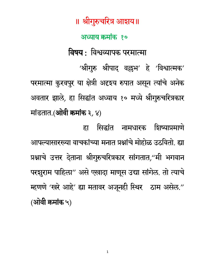॥ श्रीगुरुचरित्र आशय॥ अध्याय क्रमांक १० विषय : विश्वव्यापक परमात्मा 'श्रीगुरु श्रीपाद् वल्लभ' हे 'विश्वात्मक' परमात्मा कुरवपुर या क्षेत्री अदृशय रुपात असून त्यांचे अनेक अवतार झाले, हा सिद्धांत अध्याय १० मध्ये श्रीगुरुचरित्रकार मांडतात.(ओवी क्रमांक ३, ४)

सिद्धांत नामधारक शिष्याप्रमाणे हा आपल्यासारख्या वाचकांच्या मनात प्रश्नांचे मोहोळ उठवितो. ह्या प्रश्नाचे उत्तर देताना श्रीगुरुचरित्रकार सांगतात,"मी भगवान परशुराम पाहिला" असे एखादा माणूस उद्या सांगेल. तो त्याचे म्हणणे 'खरे आहे' ह्या मतावर अजूनही स्थिर ठाम असेल." (ओवी कमांक ५)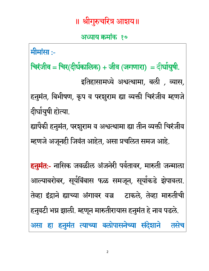#### अध्याय क्रमांक १०

मीमांसा :-चिरंजीव = चिर(दीर्घकालिक) + जीव (जगणारा) = दीर्घायुषी. इतिहासामध्ये अश्वत्थामा, बली, व्यास, हनुमंत, बिभीषण, कृप व परशुराम ह्या व्यक्ती चिरंजीव म्हणजे दीर्घायुषी होत्या. ह्यापैकी हनुमंत, परशुराम व अश्वत्थामा ह्या तीन व्यक्ती चिरंजीव म्हणजे अजूनही जिवंत आहेत, असा प्रचलित समज आहे. <del>हनुमंत:-</del> नासिक जवळील अंजनेरी पर्वतावर, मारुती जन्माला आल्याबरोबर, सूर्यबिंबास फळ समजून, सूर्याकडे झेपावला. तेव्हा इंद्राने ह्याच्या अंगावर वज्र टाकले, तेव्हा मारुतीची हनुवटी भग्न झाली. म्हणून मारुतीरायास हनुमंत हे नाव पडले. असा हा हनुमंत त्याच्या बलोपासनेच्या संदेशाने तसेच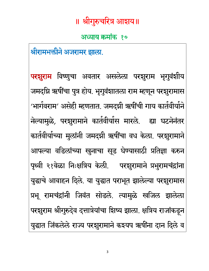#### अध्याय क्रमांक १०

श्रीरामभक्तीने अजरामर झाला.

**परशुराम** विष्णुचा अवतार असलेला परशुराम भृगुवंशीय जमदग्नि ऋषींचा पुत्र होय. भृगुवंशातला राम म्हणून परशुरामास 'भार्गवराम' असेही म्हणतात. जमदग्नी ऋषींची गाय कार्तवीर्याने नेल्यामुळे, परशुरामाने कार्तवीर्यास मारले. ह्या घटनेनंतर कार्तवीर्याच्या मुलांनी जमदग्नी ऋषींचा वध केला. परशुरामाने आपल्या वडिलांच्या खुनाचा सूड घेण्यासाठी प्रतिज्ञा करुन पृथ्वी २१वेळा निःक्षत्रिय केली. परशुरामाने प्रभुरामचंद्रांना युद्धाचे आवाहन दिले. या युद्धात पराभूत झालेल्या परशुरामास प्रभू रामचंद्रांनी जिवंत सोडले. त्यामुळे खजिल झालेला परशुराम श्रीगुरुदेव दत्तात्रेयांचा शिष्य झाला. क्षत्रिय राजांकडून युद्धात जिंकलेले राज्य परशुरामाने कश्यप ऋषींना दान दिले व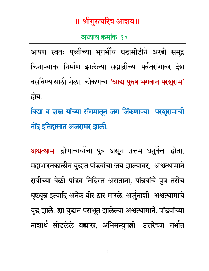#### अध्याय क्रमांक १०

आपण स्वतः पृथ्वीच्या भूगर्भीय घडामोडीने अरबी समुद्र किनाऱ्यावर निर्माण झालेल्या सह्याद्रीच्या पर्वतरांगावर देश वसविण्यासाठी गेला. कोकणचा 'आद्य पुरुष भगवान परशूराम' होय.

विद्या व शस्त्र यांच्या संगमातून जग जिंकणाऱ्या परशुरामाची नोंद इतिहासात अजरामर झाली.

<mark>अश्वत्थामा</mark> द्रोणाचार्यांचा पुत्र असून उत्तम धनुर्वेत्ता होता. महाभारतकालीन युद्धात पांडवांचा जय झाल्यावर, अश्वत्थामाने रात्रीच्या वेळी पांडव निद्रिस्त असताना, पांडवांचे पुत्र तसेच धृष्टधुम्न इत्यादि अनेक वीर ठार मारले. अर्जुनाशी अश्वत्थामाचे युद्ध झाले. ह्या युद्धात पराभूत झालेल्या अश्वत्थामाने, पांडवांच्या नाशार्थ सोडलेले ब्रह्मास्त्र, अभिमन्युपत्नी- उत्तरेच्या गर्भात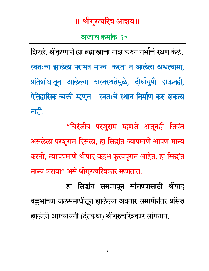#### अध्याय क्रमांक १०

शिरले. श्रीकृष्णाने ह्या ब्रह्मास्त्राचा नाश करुन गर्भाचे रक्षण केले. स्वतःचा झालेला पराभव मान्य करता न आलेला अश्वत्थामा, प्रतिशोधातून आलेल्या अस्वस्थतेमुळे, दीर्घायुषी होऊनही, ऐतिहासिक व्यक्ती म्हणून स्वतःचे स्थान निर्माण करु शकला नाही.

"चिरंजीव परशुराम म्हणजे अजूनही जिवंत असलेला परशुराम दिसला, हा सिद्धांत ज्याप्रमाणे आपण मान्य करतो, त्याचप्रमाणे श्रीपाद वल्लभ कुरवपुरात आहेत, हा सिद्धांत मान्य करावा" असे श्रीगुरुचरित्रकार म्हणतात.

हा सिद्धांत समजावून सांगण्यासाठी श्रीपाद् वल्लभांच्या जलसमाधीतून झालेल्या अवतार समाप्तीनंतर प्रसिद्ध झालेली आख्यायनी (दंतकथा) श्रीगुरुचरित्रकार सांगतात.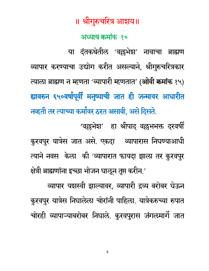अध्याय क्रमांक १०

या दंतकथेतील 'वल्लभेश' नावाचा ब्राह्मण व्यापार करण्याचा उद्योग करीत असल्याने, श्रीगुरुचरित्रकार त्याला ब्राह्मण न म्हणता 'व्यापारी म्हणतात' (ओवी कमांक १५) ह्यावरुन ६५०वर्षांपूर्वी मनुष्याची जात ही जन्मावर आधारीत नव्हती तर त्याच्या कर्मांवर ठरत असावी, असे दिसते. 'वल्लभेश' हा श्रीपाद वल्लभभक्त दरवर्षी

कुरवपुर यात्रेस जात असे. एकदा व्यापारास निघण्याआधी त्याने नवस केला की 'व्यापारात फायदा झाला तर कुरवपुर क्षेत्री ब्राह्मणांना इच्छा भोजन घाऌून तृप्त करीन.'

व्यापार यशस्वी झाल्यावर, व्यापारी द्रव्य बरोबर घेऊन कुरवपुर यात्रेस निघालेला चोरांनी पाहिला. यात्रेकरुच्या रुपात चोरही व्यापाऱ्याबरोबर निघाले. कुरवपुरास जंगलमार्गे जात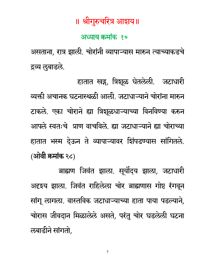#### अध्याय क्रमांक १०

असताना, रात्र झाली. चोरांनी व्यापाऱ्यास मारुन त्याच्याकडचे द्रव्य लुबाडले.

हातात खड़, त्रिशूळ घेतलेली. जटाधारी व्यक्ती अचानक घटनास्थळी आली. जटाधाऱ्याने चोरांना मारुन टाकले. एका चोराने ह्या त्रिशूळधाऱ्याच्या विनविण्या करुन आपले स्वतःचे प्राण वाचविले. ह्या जटाधाऱ्याने ह्या चोराच्या हातात भस्म देऊन ते व्यापाऱ्यावर शिंपडण्यास सांगितले. (ओवी कमांक २८)

ब्राह्मण जिवंत झाला. सूर्योदय झाला, जटाधारी अदृशय झाला. जिवंत राहिलेला चोर ब्राह्मणास गोष्ट रंगवून सांगू लागला. वास्तविक जटाधाऱ्याच्या हाता पाया पडल्याने, चोरास जीवदान मिळालेले असते, परंतु चोर घडलेली घटना लबाडीने सांगतो,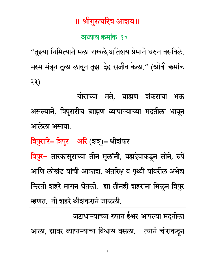#### अध्याय क्रमांक १०

"तुइया निमित्याने मला राखले,अतिशय प्रेमाने धरुन बसविले. भस्म मंत्रून तुला लावून तुझा देह सजीव केला." (ओवी कमांक ३३)

चोराच्या मते, ब्राह्मण शंकराचा भक्त असल्याने, त्रिपुरारीच ब्राह्मण व्यापाऱ्याच्या मदतीला धावून आलेला असावा.

त्रिपुरारि= त्रिपुर + अरि (शत्रू)= श्रीशंकर त्रिपुर= तारकासुराच्या तीन मुलांनी, ब्रह्मदेवाकडून सोने, रुपें आणि लोखंड यांची आकाश, अंतरिक्ष व पृथ्वी यांवरील अभेद्य फिरती शहरे मागून घेतली. ह्या तीनही शहरांना मिळून त्रिपुर म्हणत. ती शहरे श्रीशंकराने जाळली.

जटाधाऱ्याच्या रुपात ईश्वर आपल्या मदतीला आला, ह्यावर व्यापाऱ्याचा विश्वास बसला. त्याने चोराकडून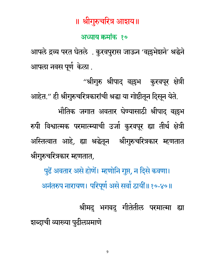#### अध्याय क्रमांक १०

आपले द्रव्य परत घेतले. कुरवपुरास जाऊन 'वल्लभेशने' श्रद्धेने आपला नवस पूर्ण केला .

"श्रीगुरु श्रीपाद् वल्लभ कुरवपूर क्षेत्री आहेत." ही श्रीगुरुचरित्रकारांची श्रद्धा या गोष्टीतून दिसून येते. भौतिक जगात अवतार घेण्यासाठी श्रीपाद वल्लभ रुपी विश्वात्मक परमात्म्याची उर्जा कुरवपूर ह्या तीर्थ क्षेत्री अस्तित्वात आहे, ह्या श्रद्धेतून श्रीगुरुचरित्रकार म्हणतात श्रीगुरुचरित्रकार म्हणतात,

पूढें अवतार असे होणें। म्हणोनि गुप्त, न दिसे कवणा। अनंतरुप नारायण। परिपूर्ण असे सर्वां ठायीं॥१०-४०॥

श्रीमदु भगवदु गीतेतील परमात्मा ह्या शब्दाची व्याख्या पुढीलप्रमाणे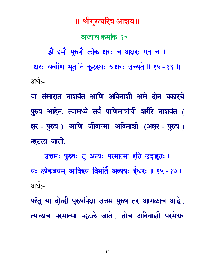10

अर्थ:-परंतु या दोन्ही पुरुषांपेक्षा उत्तम पुरुष तर आगळाच आहे. त्यालाच परमात्मा म्हटले जाते. तोच अविनाशी परमेश्वर

उत्तमः पुरुषः तु अन्यः परमात्मा इति उदाहृतः । यः लोकत्रयम् आविश्य बिभर्तिं अव्ययः ईश्वरः ॥ १५ - १७॥

या संसारात नाशवंत आणि अविनाशी असे दोन प्रकारचे पुरुष आहेत. त्यामध्ये सर्व प्राणिमात्रांची शरीरे नाशवंत ( क्षर - पुरुष) आणि जीवात्मा अविनाशी (अक्षर - पुरुष) म्हटला जातो.

द्वौ इमौ पुरुषौ लोके क्षरः च अक्षरः एव च । क्षरः सर्वाणि भूतानि कूटस्थः अक्षरः उच्यते ॥ १५ - १६ ॥ <u>अर्थ:-</u>

॥ श्रीगुरुचरित्र आशय॥

अध्याय क्रमांक १०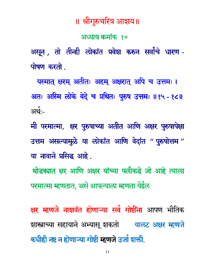#### अध्याय क्रमांक १०

असून , तो तीन्ही लोकांत प्रवेश करुन सर्वांचे धारण -पोषण करतो.

यस्मात् क्षरम् अतीतः अहम् अक्षरात् अपि च उत्तमः । अतः अस्मि लोके वेदे च प्रथितः पुरुष उत्तमः ॥१५ - १८॥ अर्थ:-

मी परमात्मा, क्षर पुरुषाच्या अतीत आणि अक्षर पुरुषापेक्षा उत्तम असल्यामुळे या लोकांत आणि वेदांत "पुरुषोत्तम" या नावाने प्रसिद्ध आहे.

थोडक्यात क्षर आणि अक्षर यांच्या पलीकडे जो आहे त्याला परमात्मा म्हणतात, असे आपल्याला म्हणता येईल

क्षर म्हणजे नाशवंत होणाऱ्या सर्व गोष्टींना आपण भौतिक शास्त्राच्या सहायाने अभ्यासू शकतो व्यालट अक्षर म्हणजे कधीही नष्ट न होणाऱ्या गोष्टी म्हणजे उर्जा शक्ती.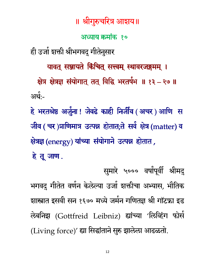अध्याय क्रमांक १०

ही उर्जा शक्ती श्रीभगवदु गीतेनुसार

यावत् सञ्जायते किंचित् सत्त्वम् स्थावरजङ्गमम् ।

क्षेत्र क्षेत्रज्ञ संयोगात् तत् विद्धि भरतर्षभ ॥ १३ – २७ ॥ <u>अर्थ:-</u>

हे भरतश्रेष्ठ अर्जुना! जेवढे काही निर्जीव (अचर) आणि स जीव ( चर)प्राणिमात्र उत्पन्न होतात;ते सर्व क्षेत्र (matter) व क्षेत्रज्ञ (energy) यांच्या संयोगाने उत्पन्न होतात, हे तू जाण.

सुमारे ५००० वर्षांपूर्वी श्रीमदु भगवदु गीतेत वर्णन केलेल्या उर्जा शक्तीचा अभ्यास, भौतिक शास्त्रात इसवी सन १६७० मध्ये जर्मन गणितज्ञ श्री गॉटफ्रा इड लेबनिझ (Gottfreid Leibniz) ह्यांच्या 'लिव्हिंग फोर्स (Living force)' ह्या सिद्धांताने सुरु झालेला आढळतो.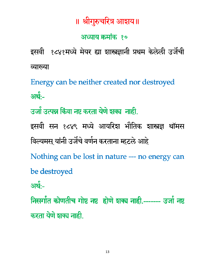#### अध्याय क्रमांक १०

इसवी १८४१मध्ये मेयर ह्या शास्त्रज्ञानी प्रथम केलेली उर्जेंची व्याख्या

Energy can be neither created nor destroyed अर्थः-

उर्जा उत्पन्न किंवा नष्ट करता येणे शक्य नाही.

इसवी सन १८४९ मध्ये आयरिश भौतिक शास्त्रज्ञ थॉमस विल्यमस यांनी उर्जेचे वर्णन करताना म्हटले आहे

Nothing can be lost in nature --- no energy can be destroyed

अर्थः-

निसर्गात कोणतीच गोष्ट नष्ट होणे शक्य नाही.------- उर्जा नष्ट करता येणे शक्य नाही.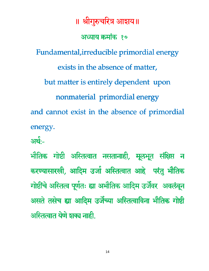॥ श्रीगुरुचरित्र आशय॥ अध्याय क्रमांक १० Fundamental, irreducible primordial energy exists in the absence of matter, but matter is entirely dependent upon nonmaterial primordial energy and cannot exist in the absence of primordial energy.

आर्थ $\cdot$ –

भौतिक गोष्टी अस्तित्वात नसतानाही, मूलभूत संक्षिप्त न करण्यासारखी, आदिम उर्जा अस्तित्वात आहे परंतु भौतिक गोष्टींचे अस्तित्व पूर्णतः ह्या अभौतिक आदिम उर्जेवर अवलंबून असते तसेच ह्या आदिम उर्जेच्या अस्तित्वाविना भौतिक गोष्टी अस्तित्वात येणे शक्य नाही.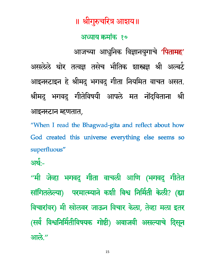#### अध्याय क्रमांक १०

आजच्या आधुनिक विज्ञानयुगाचे 'पितामह' असलेले थोर तत्वज्ञ तसेच भौतिक शास्त्रज्ञ श्री अल्बर्ट आइनस्टाइन हे श्रीमदु भगवदु गीता नियमित वाचत असत. श्रीमदु भगवदु गीतेविषयी आपले मत नोंदविताना श्री आइनस्टान म्हणतात,

"When I read the Bhagwad-gita and reflect about how God created this universe everything else seems so superfluous"

<u>अर्थः-</u>

"मी जेव्हा भगवदु गीता वाचली आणि (भगवदु गीतेत सांगितलेल्या) परमात्म्याने कशी विश्व निर्मिती केली? (ह्या विचारांवर) मी खोलवर जाऊन विचार केला, तेव्हा मला इतर (सर्व विश्वनिर्मितीविषयक गोष्टी) अवाजवी असल्याचे दिसून आले."